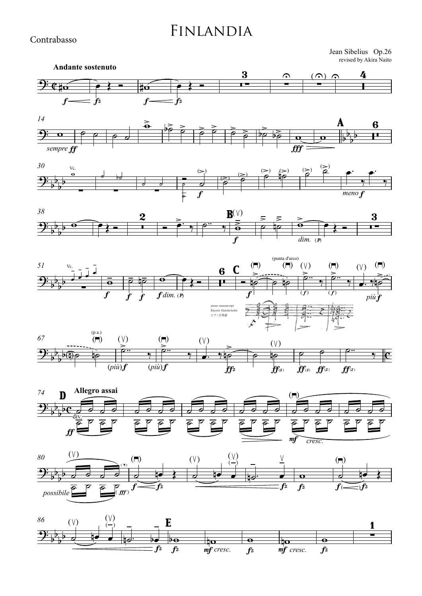## Finlandia

## Contrabasso

revised by Akira Naito Jean Sibelius Op.26



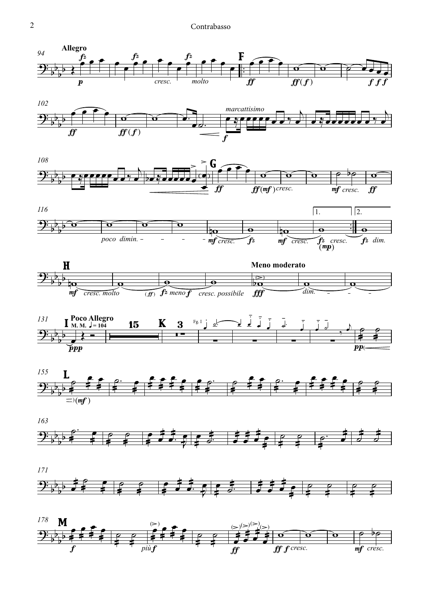